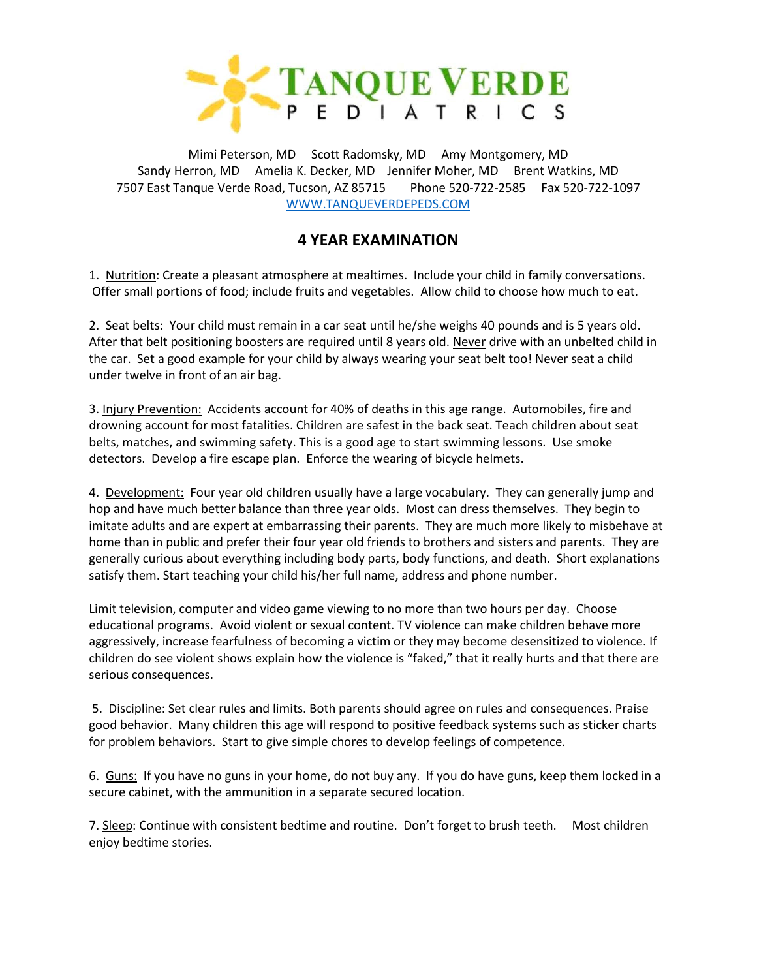

Mimi Peterson, MD Scott Radomsky, MD Amy Montgomery, MD Sandy Herron, MD Amelia K. Decker, MD Jennifer Moher, MD Brent Watkins, MD 7507 East Tanque Verde Road, Tucson, AZ 85715 Phone 520-722-2585 Fax 520-722-1097 [WWW.TANQUEVERDEPEDS.COM](http://www.tanqueverdepeds.com/)

# **4 YEAR EXAMINATION**

1. Nutrition: Create a pleasant atmosphere at mealtimes. Include your child in family conversations. Offer small portions of food; include fruits and vegetables. Allow child to choose how much to eat.

2. Seat belts: Your child must remain in a car seat until he/she weighs 40 pounds and is 5 years old. After that belt positioning boosters are required until 8 years old. Never drive with an unbelted child in the car. Set a good example for your child by always wearing your seat belt too! Never seat a child under twelve in front of an air bag.

3. Injury Prevention: Accidents account for 40% of deaths in this age range. Automobiles, fire and drowning account for most fatalities. Children are safest in the back seat. Teach children about seat belts, matches, and swimming safety. This is a good age to start swimming lessons. Use smoke detectors. Develop a fire escape plan. Enforce the wearing of bicycle helmets.

4. Development: Four year old children usually have a large vocabulary. They can generally jump and hop and have much better balance than three year olds. Most can dress themselves. They begin to imitate adults and are expert at embarrassing their parents. They are much more likely to misbehave at home than in public and prefer their four year old friends to brothers and sisters and parents. They are generally curious about everything including body parts, body functions, and death. Short explanations satisfy them. Start teaching your child his/her full name, address and phone number.

Limit television, computer and video game viewing to no more than two hours per day. Choose educational programs. Avoid violent or sexual content. TV violence can make children behave more aggressively, increase fearfulness of becoming a victim or they may become desensitized to violence. If children do see violent shows explain how the violence is "faked," that it really hurts and that there are serious consequences.

5. Discipline: Set clear rules and limits. Both parents should agree on rules and consequences. Praise good behavior. Many children this age will respond to positive feedback systems such as sticker charts for problem behaviors. Start to give simple chores to develop feelings of competence.

6. Guns: If you have no guns in your home, do not buy any. If you do have guns, keep them locked in a secure cabinet, with the ammunition in a separate secured location.

7. Sleep: Continue with consistent bedtime and routine. Don't forget to brush teeth. Most children enjoy bedtime stories.